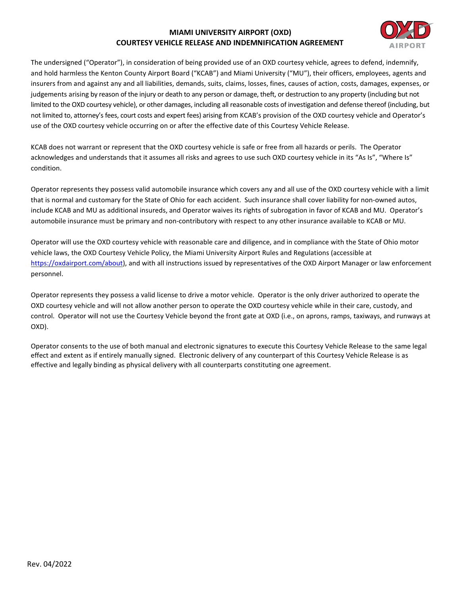## **MIAMI UNIVERSITY AIRPORT (OXD) COURTESY VEHICLE RELEASE AND INDEMNIFICATION AGREEMENT**



The undersigned ("Operator"), in consideration of being provided use of an OXD courtesy vehicle, agrees to defend, indemnify, and hold harmless the Kenton County Airport Board ("KCAB") and Miami University ("MU"), their officers, employees, agents and insurers from and against any and all liabilities, demands, suits, claims, losses, fines, causes of action, costs, damages, expenses, or judgements arising by reason of the injury or death to any person or damage, theft, or destruction to any property (including but not limited to the OXD courtesy vehicle), or other damages, including all reasonable costs of investigation and defense thereof (including, but not limited to, attorney's fees, court costs and expert fees) arising from KCAB's provision of the OXD courtesy vehicle and Operator's use of the OXD courtesy vehicle occurring on or after the effective date of this Courtesy Vehicle Release.

KCAB does not warrant or represent that the OXD courtesy vehicle is safe or free from all hazards or perils. The Operator acknowledges and understands that it assumes all risks and agrees to use such OXD courtesy vehicle in its "As Is", "Where Is" condition.

Operator represents they possess valid automobile insurance which covers any and all use of the OXD courtesy vehicle with a limit that is normal and customary for the State of Ohio for each accident. Such insurance shall cover liability for non-owned autos, include KCAB and MU as additional insureds, and Operator waives its rights of subrogation in favor of KCAB and MU. Operator's automobile insurance must be primary and non-contributory with respect to any other insurance available to KCAB or MU.

Operator will use the OXD courtesy vehicle with reasonable care and diligence, and in compliance with the State of Ohio motor vehicle laws, the OXD Courtesy Vehicle Policy, the Miami University Airport Rules and Regulations (accessible at [https://oxdairport.com/about\)](https://oxdairport.com/about), and with all instructions issued by representatives of the OXD Airport Manager or law enforcement personnel.

Operator represents they possess a valid license to drive a motor vehicle. Operator is the only driver authorized to operate the OXD courtesy vehicle and will not allow another person to operate the OXD courtesy vehicle while in their care, custody, and control. Operator will not use the Courtesy Vehicle beyond the front gate at OXD (i.e., on aprons, ramps, taxiways, and runways at OXD).

Operator consents to the use of both manual and electronic signatures to execute this Courtesy Vehicle Release to the same legal effect and extent as if entirely manually signed. Electronic delivery of any counterpart of this Courtesy Vehicle Release is as effective and legally binding as physical delivery with all counterparts constituting one agreement.